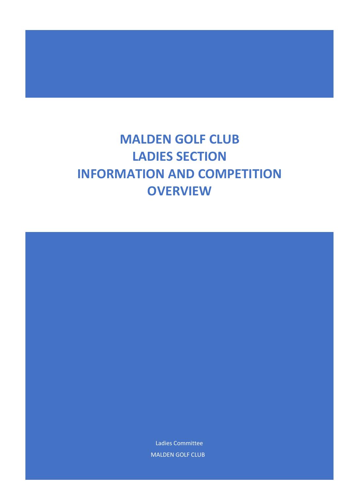# **MALDEN GOLF CLUB LADIES SECTION INFORMATION AND COMPETITION OVERVIEW**

Ladies Committee MALDEN GOLF CLUB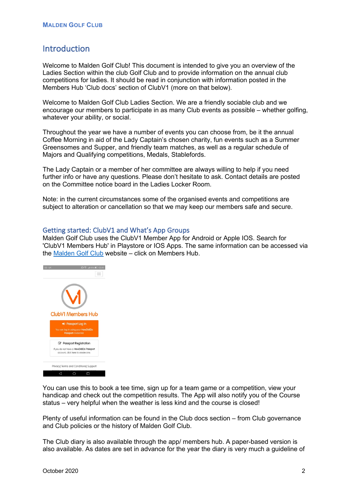# Introduction

Welcome to Malden Golf Club! This document is intended to give you an overview of the Ladies Section within the club Golf Club and to provide information on the annual club competitions for ladies. It should be read in conjunction with information posted in the Members Hub 'Club docs' section of ClubV1 (more on that below).

Welcome to Malden Golf Club Ladies Section. We are a friendly sociable club and we encourage our members to participate in as many Club events as possible – whether golfing, whatever your ability, or social.

Throughout the year we have a number of events you can choose from, be it the annual Coffee Morning in aid of the Lady Captain's chosen charity, fun events such as a Summer Greensomes and Supper, and friendly team matches, as well as a regular schedule of Majors and Qualifying competitions, Medals, Stablefords.

The Lady Captain or a member of her committee are always willing to help if you need further info or have any questions. Please don't hesitate to ask. Contact details are posted on the Committee notice board in the Ladies Locker Room.

Note: in the current circumstances some of the organised events and competitions are subject to alteration or cancellation so that we may keep our members safe and secure.

# Getting started: ClubV1 and What's App Groups

Malden Golf Club uses the ClubV1 Member App for Android or Apple IOS. Search for 'ClubV1 Members Hub' in Playstore or IOS Apps. The same information can be accessed via the Malden Golf Club website – click on Members Hub.



You can use this to book a tee time, sign up for a team game or a competition, view your handicap and check out the competition results. The App will also notify you of the Course status – very helpful when the weather is less kind and the course is closed!

Plenty of useful information can be found in the Club docs section – from Club governance and Club policies or the history of Malden Golf Club.

The Club diary is also available through the app/ members hub. A paper-based version is also available. As dates are set in advance for the year the diary is very much a guideline of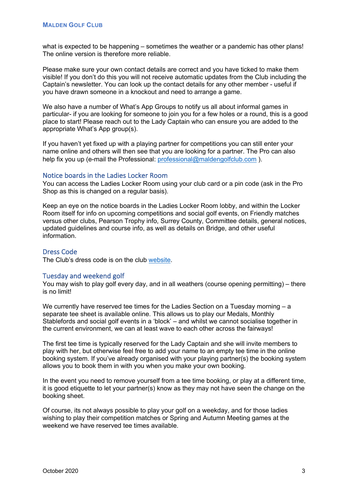what is expected to be happening – sometimes the weather or a pandemic has other plans! The online version is therefore more reliable.

Please make sure your own contact details are correct and you have ticked to make them visible! If you don't do this you will not receive automatic updates from the Club including the Captain's newsletter. You can look up the contact details for any other member - useful if you have drawn someone in a knockout and need to arrange a game.

We also have a number of What's App Groups to notify us all about informal games in particular- if you are looking for someone to join you for a few holes or a round, this is a good place to start! Please reach out to the Lady Captain who can ensure you are added to the appropriate What's App group(s).

If you haven't yet fixed up with a playing partner for competitions you can still enter your name online and others will then see that you are looking for a partner. The Pro can also help fix you up (e-mail the Professional: professional@maldengolfclub.com).

#### Notice boards in the Ladies Locker Room

You can access the Ladies Locker Room using your club card or a pin code (ask in the Pro Shop as this is changed on a regular basis).

Keep an eye on the notice boards in the Ladies Locker Room lobby, and within the Locker Room itself for info on upcoming competitions and social golf events, on Friendly matches versus other clubs, Pearson Trophy info, Surrey County, Committee details, general notices, updated guidelines and course info, as well as details on Bridge, and other useful information.

# Dress Code

The Club's dress code is on the club website.

# Tuesday and weekend golf

You may wish to play golf every day, and in all weathers (course opening permitting) – there is no limit!

We currently have reserved tee times for the Ladies Section on a Tuesday morning – a separate tee sheet is available online. This allows us to play our Medals, Monthly Stablefords and social golf events in a 'block' – and whilst we cannot socialise together in the current environment, we can at least wave to each other across the fairways!

The first tee time is typically reserved for the Lady Captain and she will invite members to play with her, but otherwise feel free to add your name to an empty tee time in the online booking system. If you've already organised with your playing partner(s) the booking system allows you to book them in with you when you make your own booking.

In the event you need to remove yourself from a tee time booking, or play at a different time, it is good etiquette to let your partner(s) know as they may not have seen the change on the booking sheet.

Of course, its not always possible to play your golf on a weekday, and for those ladies wishing to play their competition matches or Spring and Autumn Meeting games at the weekend we have reserved tee times available.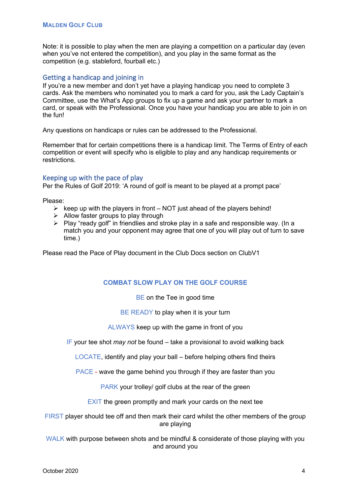Note: it is possible to play when the men are playing a competition on a particular day (even when you've not entered the competition), and you play in the same format as the competition (e.g. stableford, fourball etc.)

# Getting a handicap and joining in

If you're a new member and don't yet have a playing handicap you need to complete 3 cards. Ask the members who nominated you to mark a card for you, ask the Lady Captain's Committee, use the What's App groups to fix up a game and ask your partner to mark a card, or speak with the Professional. Once you have your handicap you are able to join in on the fun!

Any questions on handicaps or rules can be addressed to the Professional.

Remember that for certain competitions there is a handicap limit. The Terms of Entry of each competition or event will specify who is eligible to play and any handicap requirements or restrictions.

# Keeping up with the pace of play

Per the Rules of Golf 2019: 'A round of golf is meant to be played at a prompt pace'

Please:

- $\triangleright$  keep up with the players in front NOT just ahead of the players behind!
- $\triangleright$  Allow faster groups to play through
- $\triangleright$  Play "ready golf" in friendlies and stroke play in a safe and responsible way. (In a match you and your opponent may agree that one of you will play out of turn to save time.)

Please read the Pace of Play document in the Club Docs section on ClubV1

# **COMBAT SLOW PLAY ON THE GOLF COURSE**

BE on the Tee in good time

BE READY to play when it is your turn

ALWAYS keep up with the game in front of you

IF your tee shot *may not* be found – take a provisional to avoid walking back

LOCATE, identify and play your ball – before helping others find theirs

PACE - wave the game behind you through if they are faster than you

PARK your trolley/ golf clubs at the rear of the green

EXIT the green promptly and mark your cards on the next tee

FIRST player should tee off and then mark their card whilst the other members of the group are playing

WALK with purpose between shots and be mindful & considerate of those playing with you and around you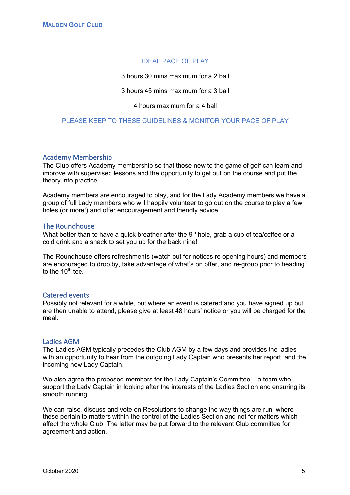# IDEAL PACE OF PLAY

3 hours 30 mins maximum for a 2 ball

3 hours 45 mins maximum for a 3 ball

4 hours maximum for a 4 ball

# PLEASE KEEP TO THESE GUIDELINES & MONITOR YOUR PACE OF PLAY

#### Academy Membership

The Club offers Academy membership so that those new to the game of golf can learn and improve with supervised lessons and the opportunity to get out on the course and put the theory into practice.

Academy members are encouraged to play, and for the Lady Academy members we have a group of full Lady members who will happily volunteer to go out on the course to play a few holes (or more!) and offer encouragement and friendly advice.

#### The Roundhouse

What better than to have a quick breather after the  $9<sup>th</sup>$  hole, grab a cup of tea/coffee or a cold drink and a snack to set you up for the back nine!

The Roundhouse offers refreshments (watch out for notices re opening hours) and members are encouraged to drop by, take advantage of what's on offer, and re-group prior to heading to the  $10<sup>th</sup>$  tee.

#### Catered events

Possibly not relevant for a while, but where an event is catered and you have signed up but are then unable to attend, please give at least 48 hours' notice or you will be charged for the meal.

#### Ladies AGM

The Ladies AGM typically precedes the Club AGM by a few days and provides the ladies with an opportunity to hear from the outgoing Lady Captain who presents her report, and the incoming new Lady Captain.

We also agree the proposed members for the Lady Captain's Committee – a team who support the Lady Captain in looking after the interests of the Ladies Section and ensuring its smooth running.

We can raise, discuss and vote on Resolutions to change the way things are run, where these pertain to matters within the control of the Ladies Section and not for matters which affect the whole Club. The latter may be put forward to the relevant Club committee for agreement and action.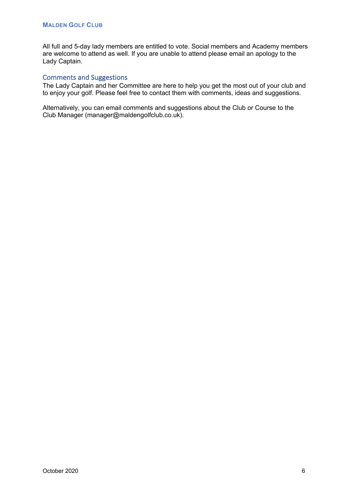All full and 5-day lady members are entitled to vote. Social members and Academy members are welcome to attend as well. If you are unable to attend please email an apology to the Lady Captain.

# Comments and Suggestions

The Lady Captain and her Committee are here to help you get the most out of your club and to enjoy your golf. Please feel free to contact them with comments, ideas and suggestions.

Alternatively, you can email comments and suggestions about the Club or Course to the Club Manager (manager@maldengolfclub.co.uk).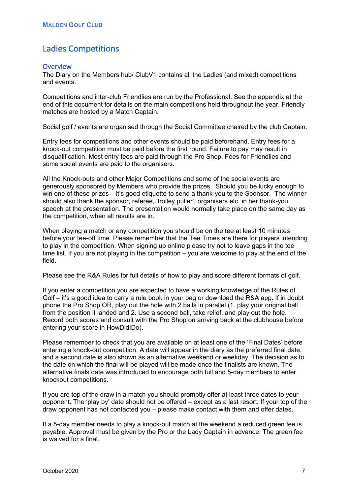# Ladies Competitions

# **Overview**

The Diary on the Members hub/ ClubV1 contains all the Ladies (and mixed) competitions and events.

Competitions and inter-club Friendlies are run by the Professional. See the appendix at the end of this document for details on the main competitions held throughout the year. Friendly matches are hosted by a Match Captain.

Social golf / events are organised through the Social Committee chaired by the club Captain.

Entry fees for competitions and other events should be paid beforehand. Entry fees for a knock-out competition must be paid before the first round. Failure to pay may result in disqualification. Most entry fees are paid through the Pro Shop. Fees for Friendlies and some social events are paid to the organisers.

All the Knock-outs and other Major Competitions and some of the social events are generously sponsored by Members who provide the prizes. Should you be lucky enough to win one of these prizes – it's good etiquette to send a thank-you to the Sponsor. The winner should also thank the sponsor, referee, 'trolley puller', organisers etc. in her thank-you speech at the presentation. The presentation would normally take place on the same day as the competition, when all results are in.

When playing a match or any competition you should be on the tee at least 10 minutes before your tee-off time. Please remember that the Tee Times are there for players intending to play in the competition. When signing up online please try not to leave gaps in the tee time list. If you are not playing in the competition – you are welcome to play at the end of the field.

Please see the R&A Rules for full details of how to play and score different formats of golf.

If you enter a competition you are expected to have a working knowledge of the Rules of Golf – it's a good idea to carry a rule book in your bag or download the R&A app. If in doubt phone the Pro Shop OR, play out the hole with 2 balls in parallel (1. play your original ball from the position it landed and 2. Use a second ball, take relief, and play out the hole. Record both scores and consult with the Pro Shop on arriving back at the clubhouse before entering your score in HowDidIDo).

Please remember to check that you are available on at least one of the 'Final Dates' before entering a knock-out competition. A date will appear in the diary as the preferred final date, and a second date is also shown as an alternative weekend or weekday. The decision as to the date on which the final will be played will be made once the finalists are known. The alternative finals date was introduced to encourage both full and 5-day members to enter knockout competitions.

If you are top of the draw in a match you should promptly offer at least three dates to your opponent. The 'play by' date should not be offered – except as a last resort. If your top of the draw opponent has not contacted you – please make contact with them and offer dates.

If a 5-day member needs to play a knock-out match at the weekend a reduced green fee is payable. Approval must be given by the Pro or the Lady Captain in advance. The green fee is waived for a final.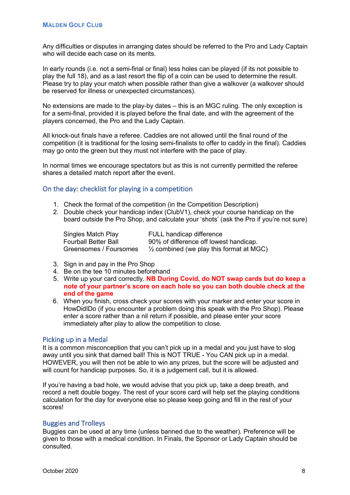Any difficulties or disputes in arranging dates should be referred to the Pro and Lady Captain who will decide each case on its merits.

In early rounds (i.e. not a semi-final or final) less holes can be played (if its not possible to play the full 18), and as a last resort the flip of a coin can be used to determine the result. Please try to play your match when possible rather than give a walkover (a walkover should be reserved for illness or unexpected circumstances).

No extensions are made to the play-by dates – this is an MGC ruling. The only exception is for a semi-final, provided it is played before the final date, and with the agreement of the players concerned, the Pro and the Lady Captain.

All knock-out finals have a referee. Caddies are not allowed until the final round of the competition (it is traditional for the losing semi-finalists to offer to caddy in the final). Caddies may go onto the green but they must not interfere with the pace of play.

In normal times we encourage spectators but as this is not currently permitted the referee shares a detailed match report after the event.

# On the day: checklist for playing in a competition

- 1. Check the format of the competition (in the Competition Description)
- 2. Double check your handicap index (ClubV1), check your course handicap on the board outside the Pro Shop, and calculate your 'shots' (ask the Pro if you're not sure)

Singles Match Play FULL handicap difference Fourball Better Ball 90% of difference off lowest handicap.<br>Greensomes / Foursomes 1/2 combined (we play this format at MC  $\frac{1}{2}$  combined (we play this format at MGC)

- 3. Sign in and pay in the Pro Shop
- 4. Be on the tee 10 minutes beforehand
- 5. Write up your card correctly. **NB During Covid, do NOT swap cards but do keep a note of your partner's score on each hole so you can both double check at the end of the game**
- 6. When you finish, cross check your scores with your marker and enter your score in HowDidIDo (if you encounter a problem doing this speak with the Pro Shop). Please enter a score rather than a nil return if possible, and please enter your score immediately after play to allow the competition to close.

#### Picking up in a Medal

It is a common misconception that you can't pick up in a medal and you just have to slog away until you sink that darned ball! This is NOT TRUE - You CAN pick up in a medal. HOWEVER, you will then not be able to win any prizes, but the score will be adjusted and will count for handicap purposes. So, it is a judgement call, but it is allowed.

If you're having a bad hole, we would advise that you pick up, take a deep breath, and record a nett double bogey. The rest of your score card will help set the playing conditions calculation for the day for everyone else so please keep going and fill in the rest of your scores!

#### Buggies and Trolleys

Buggies can be used at any time (unless banned due to the weather). Preference will be given to those with a medical condition. In Finals, the Sponsor or Lady Captain should be consulted.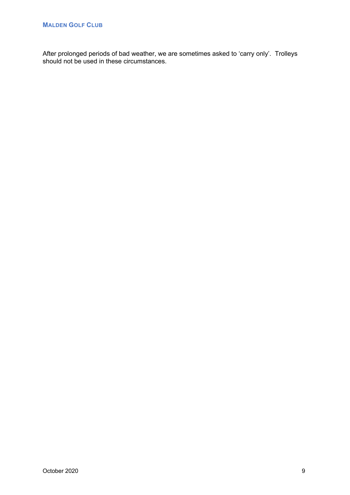After prolonged periods of bad weather, we are sometimes asked to 'carry only'. Trolleys should not be used in these circumstances.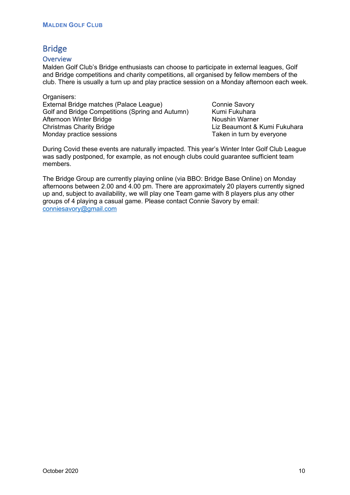# Bridge

# **Overview**

Malden Golf Club's Bridge enthusiasts can choose to participate in external leagues, Golf and Bridge competitions and charity competitions, all organised by fellow members of the club. There is usually a turn up and play practice session on a Monday afternoon each week.

Organisers: External Bridge matches (Palace League) Connie Savory Golf and Bridge Competitions (Spring and Autumn) Kumi Fukuhara Afternoon Winter Bridge Noushin Warner Christmas Charity Bridge Liz Beaumont & Kumi Fukuhara Monday practice sessions Monday practice sessions Taken in turn by everyone

During Covid these events are naturally impacted. This year's Winter Inter Golf Club League was sadly postponed, for example, as not enough clubs could guarantee sufficient team members.

The Bridge Group are currently playing online (via BBO: Bridge Base Online) on Monday afternoons between 2.00 and 4.00 pm. There are approximately 20 players currently signed up and, subject to availability, we will play one Team game with 8 players plus any other groups of 4 playing a casual game. Please contact Connie Savory by email: conniesavory@gmail.com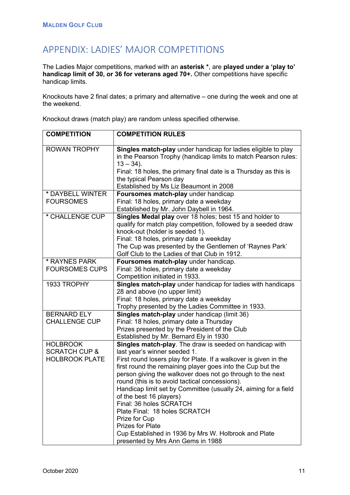# APPENDIX: LADIES' MAJOR COMPETITIONS

The Ladies Major competitions, marked with an **asterisk \***, are **played under a 'play to' handicap limit of 30, or 36 for veterans aged 70+.** Other competitions have specific handicap limits.

Knockouts have 2 final dates; a primary and alternative – one during the week and one at the weekend.

Knockout draws (match play) are random unless specified otherwise.

| <b>COMPETITION</b>                          | <b>COMPETITION RULES</b>                                                                                                                                                                                                                                                                                                                                                                                                                                                                                                                          |
|---------------------------------------------|---------------------------------------------------------------------------------------------------------------------------------------------------------------------------------------------------------------------------------------------------------------------------------------------------------------------------------------------------------------------------------------------------------------------------------------------------------------------------------------------------------------------------------------------------|
| <b>ROWAN TROPHY</b>                         | Singles match-play under handicap for ladies eligible to play<br>in the Pearson Trophy (handicap limits to match Pearson rules:<br>$13 - 34$ ).<br>Final: 18 holes, the primary final date is a Thursday as this is<br>the typical Pearson day<br>Established by Ms Liz Beaumont in 2008                                                                                                                                                                                                                                                          |
| * DAYBELL WINTER                            | Foursomes match-play under handicap                                                                                                                                                                                                                                                                                                                                                                                                                                                                                                               |
| <b>FOURSOMES</b>                            | Final: 18 holes, primary date a weekday<br>Established by Mr. John Daybell in 1964.                                                                                                                                                                                                                                                                                                                                                                                                                                                               |
| * CHALLENGE CUP                             | Singles Medal play over 18 holes; best 15 and holder to<br>qualify for match play competition, followed by a seeded draw<br>knock-out (holder is seeded 1).<br>Final: 18 holes, primary date a weekday<br>The Cup was presented by the Gentlemen of 'Raynes Park'<br>Golf Club to the Ladies of that Club in 1912.                                                                                                                                                                                                                                |
| * RAYNES PARK                               | Foursomes match-play under handicap.                                                                                                                                                                                                                                                                                                                                                                                                                                                                                                              |
| <b>FOURSOMES CUPS</b>                       | Final: 36 holes, primary date a weekday                                                                                                                                                                                                                                                                                                                                                                                                                                                                                                           |
|                                             | Competition initiated in 1933.                                                                                                                                                                                                                                                                                                                                                                                                                                                                                                                    |
| 1933 TROPHY                                 | Singles match-play under handicap for ladies with handicaps<br>28 and above (no upper limit)<br>Final: 18 holes, primary date a weekday<br>Trophy presented by the Ladies Committee in 1933.                                                                                                                                                                                                                                                                                                                                                      |
| <b>BERNARD ELY</b>                          | Singles match-play under handicap (limit 36)                                                                                                                                                                                                                                                                                                                                                                                                                                                                                                      |
| <b>CHALLENGE CUP</b>                        | Final: 18 holes, primary date a Thursday                                                                                                                                                                                                                                                                                                                                                                                                                                                                                                          |
|                                             | Prizes presented by the President of the Club<br>Established by Mr. Bernard Ely in 1930                                                                                                                                                                                                                                                                                                                                                                                                                                                           |
| <b>HOLBROOK</b><br><b>SCRATCH CUP &amp;</b> | Singles match-play. The draw is seeded on handicap with<br>last year's winner seeded 1.                                                                                                                                                                                                                                                                                                                                                                                                                                                           |
| <b>HOLBROOK PLATE</b>                       | First round losers play for Plate. If a walkover is given in the<br>first round the remaining player goes into the Cup but the<br>person giving the walkover does not go through to the next<br>round (this is to avoid tactical concessions).<br>Handicap limit set by Committee (usually 24, aiming for a field<br>of the best 16 players)<br>Final: 36 holes SCRATCH<br>Plate Final: 18 holes SCRATCH<br>Prize for Cup<br><b>Prizes for Plate</b><br>Cup Established in 1936 by Mrs W. Holbrook and Plate<br>presented by Mrs Ann Gems in 1988 |